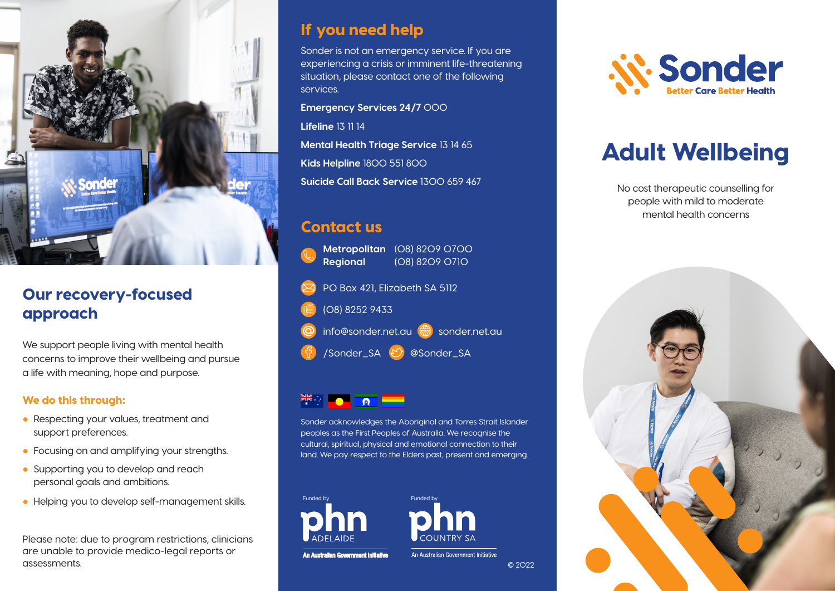

# Our recovery-focused approach

We support people living with mental health concerns to improve their wellbeing and pursue a life with meaning, hope and purpose.

#### We do this through:

- Respecting your values, treatment and support preferences.
- Focusing on and amplifying your strengths.
- Supporting you to develop and reach personal goals and ambitions.
- Helping you to develop self-management skills.

Please note: due to program restrictions, clinicians are unable to provide medico-legal reports or assessments.

#### If you need help

Sonder is not an emergency service. If you are experiencing a crisis or imminent life-threatening situation, please contact one of the following services.

**Emergency Services 24/7** 000 **Lifeline** 13 11 14 **Mental Health Triage Service** 13 14 65 **Kids Helpline** 1800 551 800 **Suicide Call Back Service** 1300 659 467

## Contact us

**Metropolitan** (08) 8209 0700 **Regional** (08) 8209 0710 PO Box 421, Elizabeth SA 5112

(08) 8252 9433

info@sonder.net.au <sub>sonder.net.au</sub>

/Sonder\_SA @Sonder\_SA

# $\frac{1}{2}$   $\frac{1}{2}$   $\frac{1}{2}$   $\frac{1}{2}$   $\frac{1}{2}$   $\frac{1}{2}$   $\frac{1}{2}$   $\frac{1}{2}$   $\frac{1}{2}$   $\frac{1}{2}$   $\frac{1}{2}$   $\frac{1}{2}$   $\frac{1}{2}$   $\frac{1}{2}$   $\frac{1}{2}$   $\frac{1}{2}$   $\frac{1}{2}$   $\frac{1}{2}$   $\frac{1}{2}$   $\frac{1}{2}$   $\frac{1}{2}$   $\frac{1}{2}$

Sonder acknowledges the Aboriginal and Torres Strait Islander peoples as the First Peoples of Australia. We recognise the cultural, spiritual, physical and emotional connection to their land. We pay respect to the Elders past, present and emerging.





An Australian Government Initiative

© 2022

An Australian Government Initiative



# Adult Wellbeing

No cost therapeutic counselling for people with mild to moderate mental health concerns